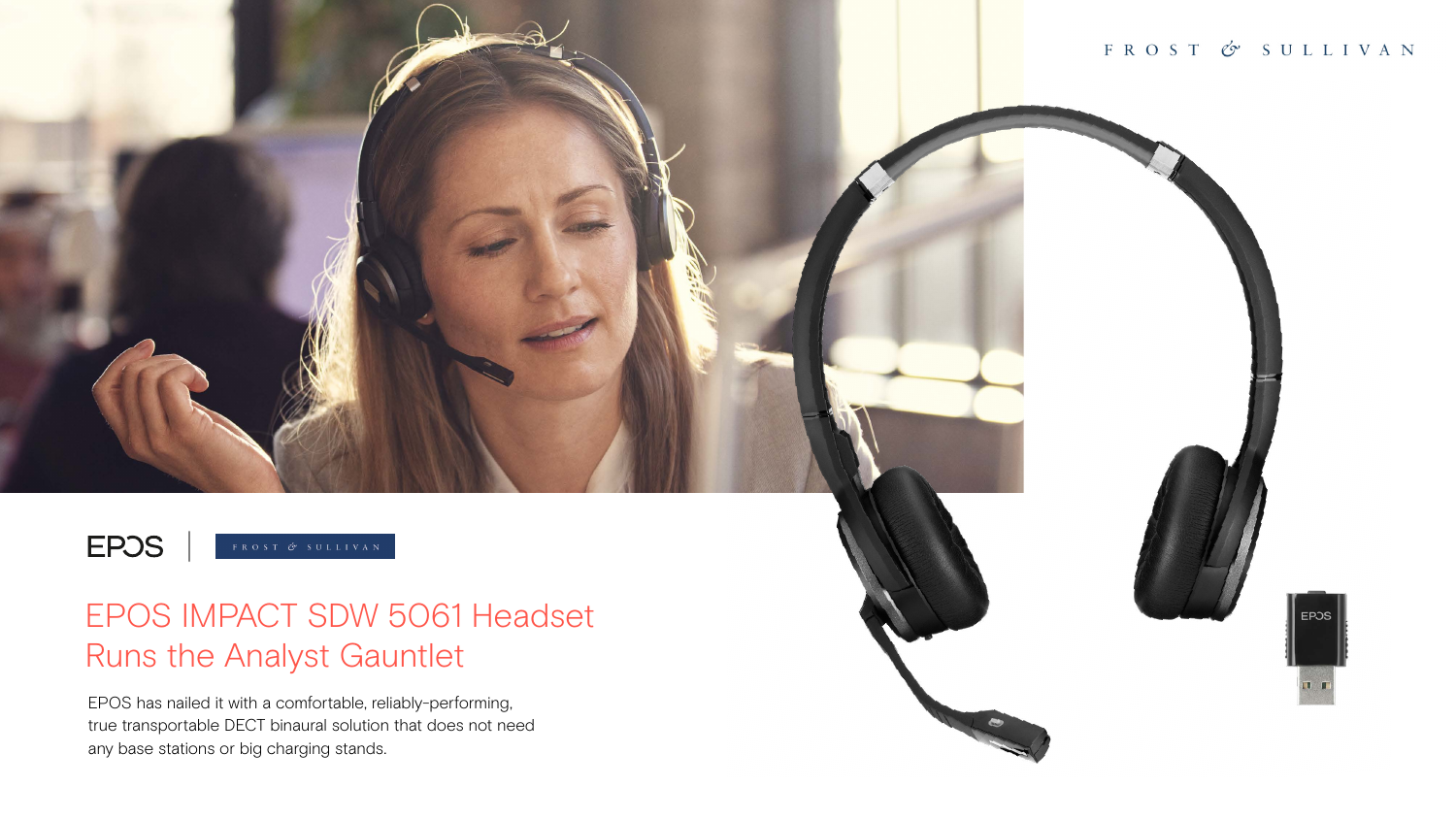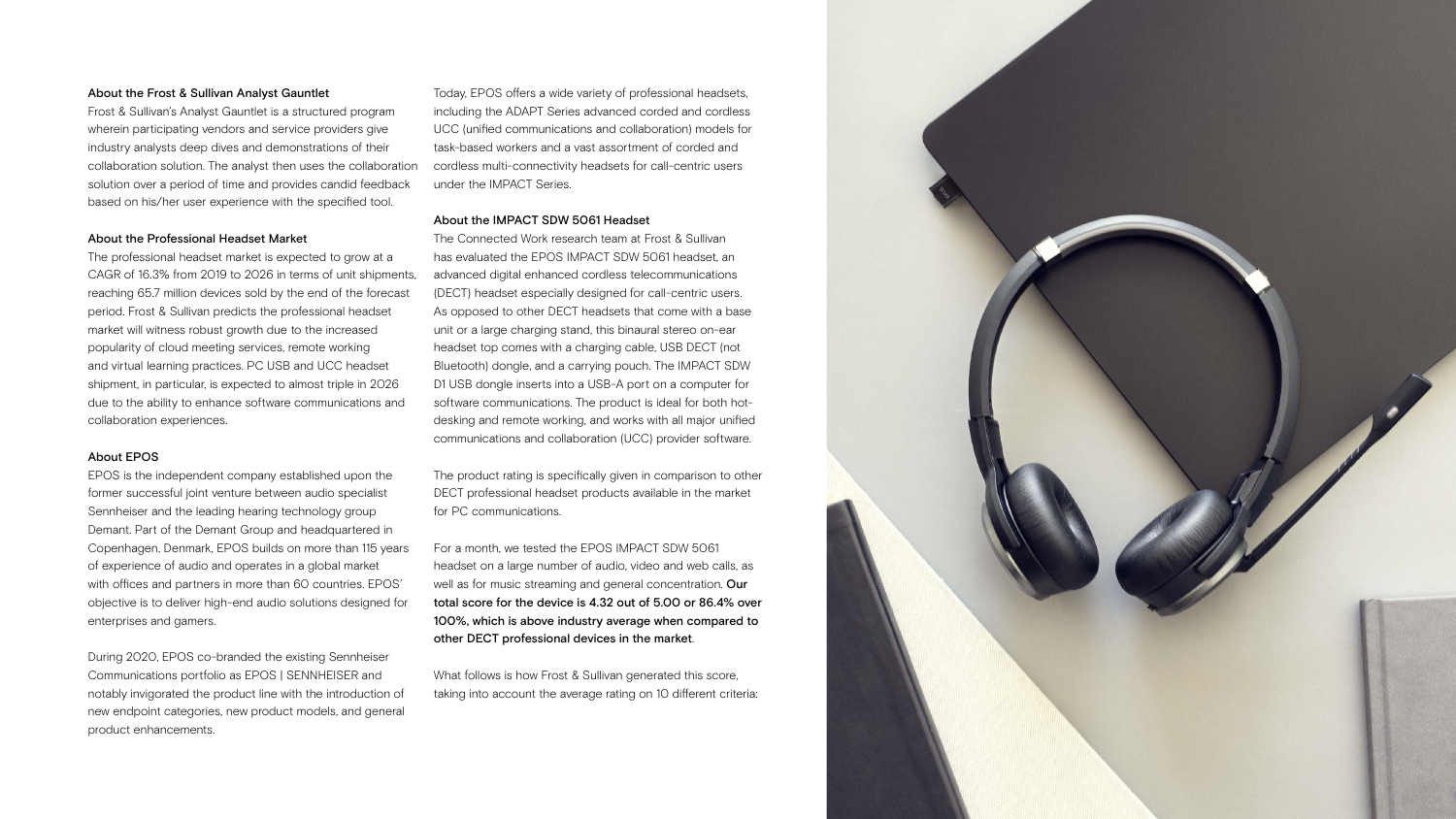## About the Frost & Sullivan Analyst Gauntlet

Frost & Sullivan's Analyst Gauntlet is a structured program wherein participating vendors and service providers give industry analysts deep dives and demonstrations of their collaboration solution. The analyst then uses the collaboration solution over a period of time and provides candid feedback based on his/her user experience with the specified tool.

## About the Professional Headset Market

The professional headset market is expected to grow at a CAGR of 16.3% from 2019 to 2026 in terms of unit shipments, reaching 65.7 million devices sold by the end of the forecast period. Frost & Sullivan predicts the professional headset market will witness robust growth due to the increased popularity of cloud meeting services, remote working and virtual learning practices. PC USB and UCC headset shipment, in particular, is expected to almost triple in 2026 due to the ability to enhance software communications and collaboration experiences.

## About EPOS

EPOS is the independent company established upon the former successful joint venture between audio specialist Sennheiser and the leading hearing technology group Demant. Part of the Demant Group and headquartered in Copenhagen, Denmark, EPOS builds on more than 115 years of experience of audio and operates in a global market with offices and partners in more than 60 countries. EPOS' objective is to deliver high-end audio solutions designed for enterprises and gamers.

During 2020, EPOS co-branded the existing Sennheiser Communications portfolio as EPOS | SENNHEISER and notably invigorated the product line with the introduction of new endpoint categories, new product models, and general product enhancements.

Today, EPOS offers a wide variety of professional headsets, including the ADAPT Series advanced corded and cordless UCC (unified communications and collaboration) models for task-based workers and a vast assortment of corded and cordless multi-connectivity headsets for call-centric users under the IMPACT Series.

## About the IMPACT SDW 5061 Headset

The Connected Work research team at Frost & Sullivan has evaluated the EPOS IMPACT SDW 5061 headset, an advanced digital enhanced cordless telecommunications (DECT) headset especially designed for call-centric users. As opposed to other DECT headsets that come with a base unit or a large charging stand, this binaural stereo on-ear headset top comes with a charging cable, USB DECT (not Bluetooth) dongle, and a carrying pouch. The IMPACT SDW D1 USB dongle inserts into a USB-A port on a computer for software communications. The product is ideal for both hotdesking and remote working, and works with all major unified communications and collaboration (UCC) provider software.

The product rating is specifically given in comparison to other DECT professional headset products available in the market for PC communications.

For a month, we tested the EPOS IMPACT SDW 5061 headset on a large number of audio, video and web calls, as well as for music streaming and general concentration. Our total score for the device is 4.32 out of 5.00 or 86.4% over 100%, which is above industry average when compared to other DECT professional devices in the market.

What follows is how Frost & Sullivan generated this score, taking into account the average rating on 10 different criteria:

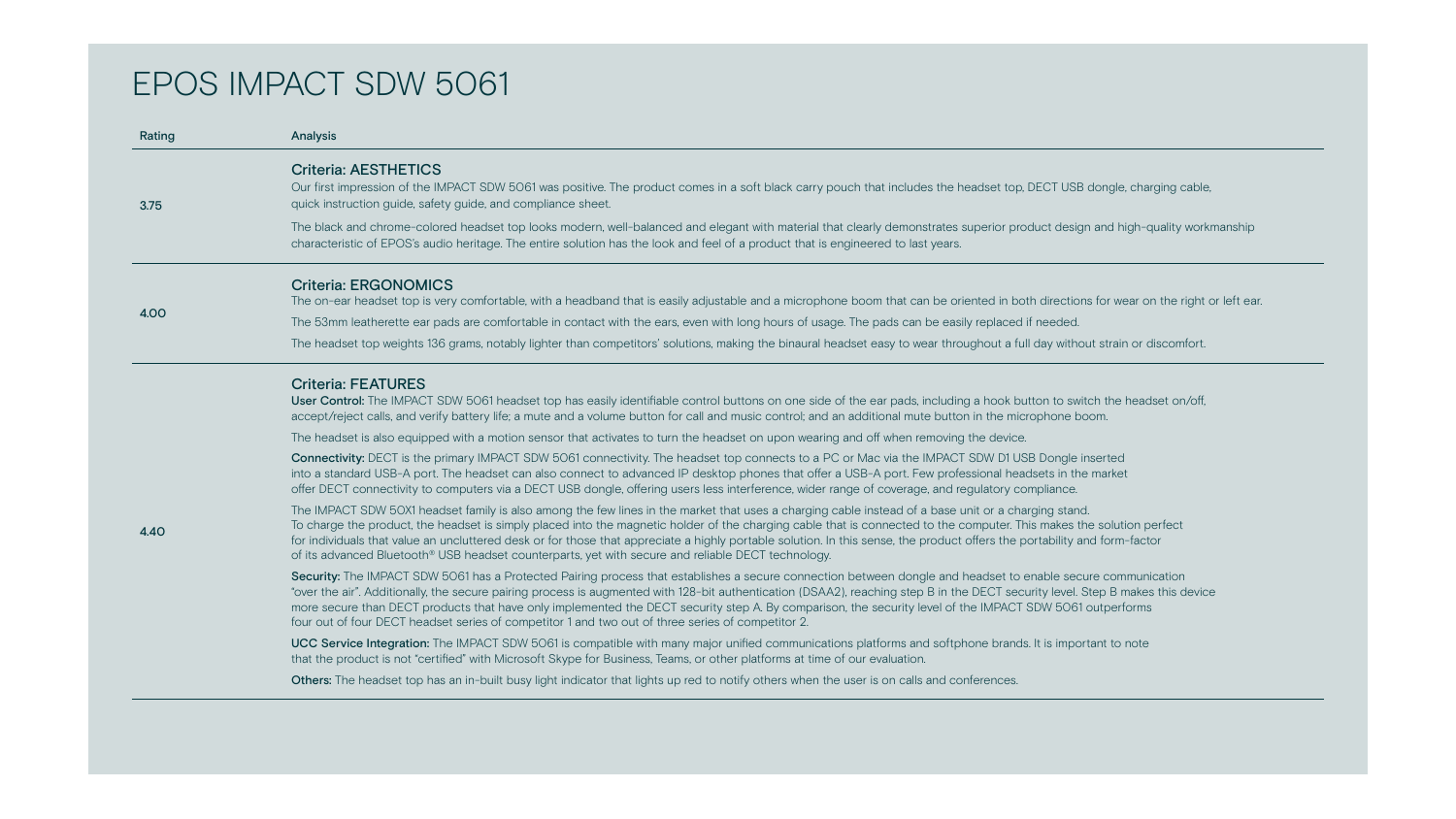| Rating | <b>Analysis</b>                                                                                                                                                                                                                                                                                                                                                                                                                                                                                            |
|--------|------------------------------------------------------------------------------------------------------------------------------------------------------------------------------------------------------------------------------------------------------------------------------------------------------------------------------------------------------------------------------------------------------------------------------------------------------------------------------------------------------------|
| 3.75   | <b>Criteria: AESTHETICS</b><br>Our first impression of the IMPACT SDW 5061 was positive. The product of<br>quick instruction guide, safety guide, and compliance sheet.                                                                                                                                                                                                                                                                                                                                    |
|        | The black and chrome-colored headset top looks modern, well-balanced<br>characteristic of EPOS's audio heritage. The entire solution has the look a                                                                                                                                                                                                                                                                                                                                                        |
|        | <b>Criteria: ERGONOMICS</b><br>The on-ear headset top is very comfortable, with a headband that is easi                                                                                                                                                                                                                                                                                                                                                                                                    |
| 4.00   | The 53mm leatherette ear pads are comfortable in contact with the ears,                                                                                                                                                                                                                                                                                                                                                                                                                                    |
|        | The headset top weights 136 grams, notably lighter than competitors' solution-                                                                                                                                                                                                                                                                                                                                                                                                                             |
|        | <b>Criteria: FEATURES</b><br><b>User Control:</b> The IMPACT SDW 5061 headset top has easily identifiable<br>accept/reject calls, and verify battery life; a mute and a volume button for<br>The headset is also equipped with a motion sensor that activates to turn<br><b>Connectivity:</b> DECT is the primary IMPACT SDW 5061 connectivity. The h<br>into a standard USB-A port. The headset can also connect to advanced I<br>offer DECT connectivity to computers via a DECT USB dongle, offering us |
| 4.40   | The IMPACT SDW 50X1 headset family is also among the few lines in the<br>To charge the product, the headset is simply placed into the magnetic ho<br>for individuals that value an uncluttered desk or for those that appreciate<br>of its advanced Bluetooth <sup>®</sup> USB headset counterparts, yet with secure are                                                                                                                                                                                   |
|        | <b>Security:</b> The IMPACT SDW 5061 has a Protected Pairing process that est<br>"over the air". Additionally, the secure pairing process is augmented with<br>more secure than DECT products that have only implemented the DECT<br>four out of four DECT headset series of competitor 1 and two out of three                                                                                                                                                                                             |
|        | <b>UCC Service Integration:</b> The IMPACT SDW 5061 is compatible with mare<br>that the product is not "certified" with Microsoft Skype for Business, Team                                                                                                                                                                                                                                                                                                                                                 |
|        | <b>Others:</b> The headset top has an in-built busy light indicator that lights up                                                                                                                                                                                                                                                                                                                                                                                                                         |

comes in a soft black carry pouch that includes the headset top, DECT USB dongle, charging cable,

I and elegant with material that clearly demonstrates superior product design and high-quality workmanship and feel of a product that is engineered to last years.

ily adjustable and a microphone boom that can be oriented in both directions for wear on the right or left ear.

even with long hours of usage. The pads can be easily replaced if needed.

utions, making the binaural headset easy to wear throughout a full day without strain or discomfort.

control buttons on one side of the ear pads, including a hook button to switch the headset on/off, r call and music control; and an additional mute button in the microphone boom.

the headset on upon wearing and off when removing the device.

headset top connects to a PC or Mac via the IMPACT SDW D1 USB Dongle inserted IP desktop phones that offer a USB-A port. Few professional headsets in the market sers less interference, wider range of coverage, and regulatory compliance.

market that uses a charging cable instead of a base unit or a charging stand. older of the charging cable that is connected to the computer. This makes the solution perfect  $\alpha$  a highly portable solution. In this sense, the product offers the portability and form-factor nd reliable DECT technology.

stablishes a secure connection between dongle and headset to enable secure communication 128-bit authentication (DSAA2), reaching step B in the DECT security level. Step B makes this device security step A. By comparison, the security level of the IMPACT SDW 5061 outperforms e series of competitor 2.

ny major unified communications platforms and softphone brands. It is important to note ns, or other platforms at time of our evaluation.

red to notify others when the user is on calls and conferences.



# EPOS IMPACT SDW 5061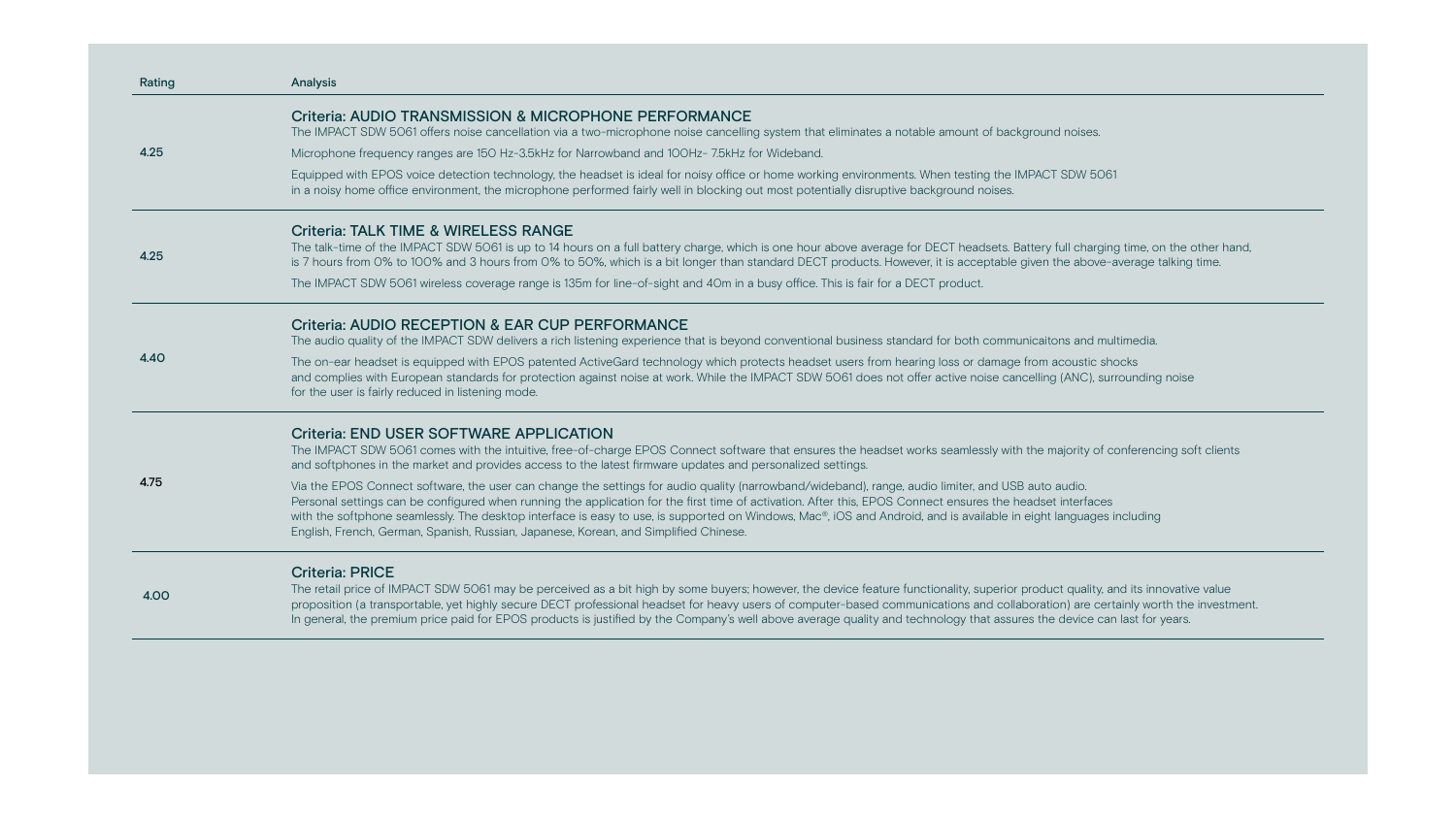| Rating | <b>Analysis</b>                                                                                                                                                                                                                                                                                                     |
|--------|---------------------------------------------------------------------------------------------------------------------------------------------------------------------------------------------------------------------------------------------------------------------------------------------------------------------|
| 4.25   | <b>Criteria: AUDIO TRANSMISSION &amp; MICROPHONE PERFO</b><br>The IMPACT SDW 5061 offers noise cancellation via a two-microphone no                                                                                                                                                                                 |
|        | Microphone frequency ranges are 150 Hz-3.5kHz for Narrowband and 100                                                                                                                                                                                                                                                |
|        | Equipped with EPOS voice detection technology, the headset is ideal for r<br>in a noisy home office environment, the microphone performed fairly well in                                                                                                                                                            |
| 4.25   | <b>Criteria: TALK TIME &amp; WIRELESS RANGE</b><br>The talk-time of the IMPACT SDW 5061 is up to 14 hours on a full battery of<br>is 7 hours from 0% to 100% and 3 hours from 0% to 50%, which is a bit k                                                                                                           |
|        | The IMPACT SDW 5061 wireless coverage range is 135m for line-of-sight a                                                                                                                                                                                                                                             |
| 4.40   | <b>Criteria: AUDIO RECEPTION &amp; EAR CUP PERFORMANCE</b><br>The audio quality of the IMPACT SDW delivers a rich listening experience to                                                                                                                                                                           |
|        | The on-ear headset is equipped with EPOS patented Active Gard technold<br>and complies with European standards for protection against noise at work<br>for the user is fairly reduced in listening mode.                                                                                                            |
| 4.75   | <b>Criteria: END USER SOFTWARE APPLICATION</b><br>The IMPACT SDW 5061 comes with the intuitive, free-of-charge EPOS Cor<br>and softphones in the market and provides access to the latest firmware u                                                                                                                |
|        | Via the EPOS Connect software, the user can change the settings for auding<br>Personal settings can be configured when running the application for the<br>with the softphone seamlessly. The desktop interface is easy to use, is sup<br>English, French, German, Spanish, Russian, Japanese, Korean, and Simplifie |
| 4.00   | <b>Criteria: PRICE</b><br>The retail price of IMPACT SDW 5061 may be perceived as a bit high by so<br>proposition (a transportable, yet highly secure DECT professional headset<br>In general, the premium price paid for EPOS products is justified by the Co                                                      |

# ORMANCE

noise cancelling system that eliminates a notable amount of background noises.

OHz-7.5kHz for Wideband.

Inoisy office or home working environments. When testing the IMPACT SDW 5061 in blocking out most potentially disruptive background noises.

charge, which is one hour above average for DECT headsets. Battery full charging time, on the other hand, longer than standard DECT products. However, it is acceptable given the above-average talking time.

and 40m in a busy office. This is fair for a DECT product.

that is beyond conventional business standard for both communicaitons and multimedia.

logy which protects headset users from hearing loss or damage from acoustic shocks and complies with European standards for the IMPACT SDW 5061 does not offer active noise included and an alter

onnect software that ensures the headset works seamlessly with the majority of conferencing soft clients updates and personalized settings.

dio quality (narrowband/wideband), range, audio limiter, and USB auto audio. e first time of activation. After this, EPOS Connect ensures the headset interfaces upported on Windows, Mac®, iOS and Android, and is available in eight languages including Fred Chinese.

Some buyers; however, the device feature functionality, superior product quality, and its innovative value t for heavy users of computer-based communications and collaboration) are certainly worth the investment. Company's well above average quality and technology that assures the device can last for years.